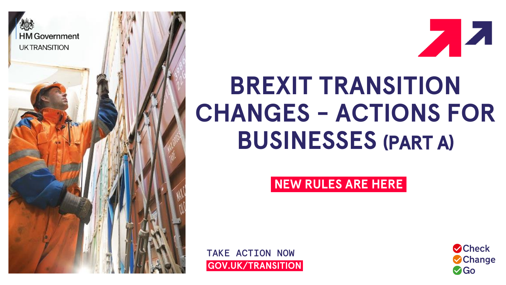



# **BREXIT TRANSITION CHANGES - ACTIONS FOR BUSINESSES** (PART A)

## **NEW RULES ARE HERE**

TAKE ACTION NOW **<sup>i</sup>GOV.UK/TRANSITION<sup>i</sup>**

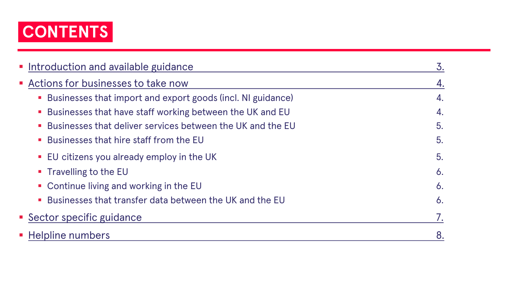

| • Introduction and available guidance                                                  | 3.           |
|----------------------------------------------------------------------------------------|--------------|
| Actions for businesses to take now                                                     | 4.           |
| Businesses that import and export goods (incl. NI guidance)                            | 4.           |
| • Businesses that have staff working between the UK and EU                             | 4.           |
| Businesses that deliver services between the UK and the EU                             | 5.           |
| Businesses that hire staff from the EU                                                 | 5.           |
| • EU citizens you already employ in the UK                                             | 5.           |
| • Travelling to the EU                                                                 | $\delta$ .   |
| • Continue living and working in the EU                                                | $\delta$ .   |
| Businesses that transfer data between the UK and the EU<br>$\mathcal{L}_{\mathcal{A}}$ | $\mathbf 6.$ |
| • Sector specific guidance                                                             |              |
| • Helpline numbers                                                                     | 8.           |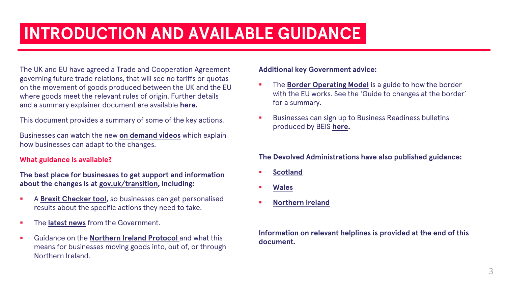## **INTRODUCTION AND AVAILABLE GUIDANCE**

The UK and EU have agreed a Trade and Cooperation Agreement governing future trade relations, that will see no tariffs or quotas on the movement of goods produced between the UK and the EU where goods meet the relevant rules of origin. Further details and a summary explainer document are available **[here](https://www.gov.uk/government/publications/agreements-reached-between-the-united-kingdom-of-great-britain-and-northern-ireland-and-the-european-union).**

This document provides a summary of some of the key actions.

Businesses can watch the new **[on demand videos](https://www.workcast.com/register?cpak=1070296099921910)** which explain how businesses can adapt to the changes.

## **What guidance is available?**

## **The best place for businesses to get support and information about the changes is at [gov.uk/transition,](https://www.gov.uk/transition) including:**

- A **Brexit [Checker tool](https://www.gov.uk/transition-check/questions),** so businesses can get personalised results about the specific actions they need to take.
- **.** The **[latest news](https://www.gov.uk/search/news-and-communications?parent=%2Ftransition&topic=d6c2de5d-ef90-45d1-82d4-5f2438369eea)** from the Government.
- Guidance on the **[Northern Ireland Protocol](https://www.gov.uk/government/collections/moving-goods-into-out-of-or-through-northern-ireland)** and what this means for businesses moving goods into, out of, or through Northern Ireland.

## **Additional key Government advice:**

- **EXECUTE:** The **[Border Operating Model](https://www.gov.uk/government/publications/the-border-operating-model)** is a guide to how the border with the EU works. See the 'Guide to changes at the border' for a summary.
- Businesses can sign up to Business Readiness bulletins produced by BEIS **[here.](https://public.govdelivery.com/accounts/UKDECC/subscriber/new?topic_id=UKDECC_155)**

## **The Devolved Administrations have also published guidance:**

- **[Scotland](https://www.prepareforbrexit.scot/)**
- **[Wales](https://gov.wales/preparing-wales)**
- **[Northern Ireland](https://www.nidirect.gov.uk/articles/leaving-eu-brexit)**

## **Information on relevant helplines is provided at the end of this document.**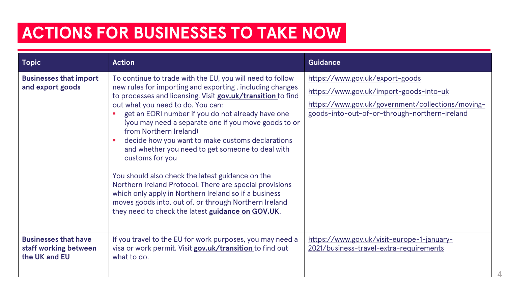## **ACTIONS FOR BUSINESSES TO TAKE NOW**

| Topic                                                                 | <b>Action</b>                                                                                                                                                                                                                                                                                                                                                                                                                                                                                                                                                                                                                                                                                                                                                                     | <b>Guidance</b>                                                                                                                                                                  |
|-----------------------------------------------------------------------|-----------------------------------------------------------------------------------------------------------------------------------------------------------------------------------------------------------------------------------------------------------------------------------------------------------------------------------------------------------------------------------------------------------------------------------------------------------------------------------------------------------------------------------------------------------------------------------------------------------------------------------------------------------------------------------------------------------------------------------------------------------------------------------|----------------------------------------------------------------------------------------------------------------------------------------------------------------------------------|
| <b>Businesses that import</b><br>and export goods                     | To continue to trade with the EU, you will need to follow<br>new rules for importing and exporting, including changes<br>to processes and licensing. Visit gov.uk/transition to find<br>out what you need to do. You can:<br>get an EORI number if you do not already have one<br>(you may need a separate one if you move goods to or<br>from Northern Ireland)<br>decide how you want to make customs declarations<br>and whether you need to get someone to deal with<br>customs for you<br>You should also check the latest guidance on the<br>Northern Ireland Protocol. There are special provisions<br>which only apply in Northern Ireland so if a business<br>moves goods into, out of, or through Northern Ireland<br>they need to check the latest guidance on GOV.UK. | https://www.gov.uk/export-goods<br>https://www.gov.uk/import-goods-into-uk<br>https://www.gov.uk/government/collections/moving-<br>goods-into-out-of-or-through-northern-ireland |
| <b>Businesses that have</b><br>staff working between<br>the UK and EU | If you travel to the EU for work purposes, you may need a<br>visa or work permit. Visit gov.uk/transition to find out<br>what to do.                                                                                                                                                                                                                                                                                                                                                                                                                                                                                                                                                                                                                                              | https://www.gov.uk/visit-europe-1-january-<br>2021/business-travel-extra-requirements                                                                                            |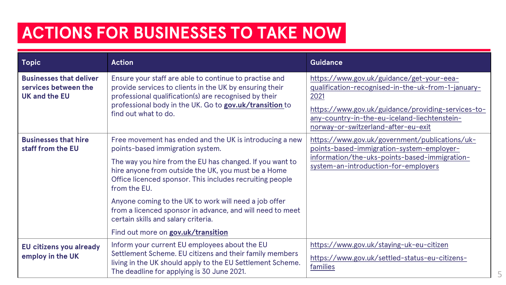## *ACTIONS FOR BUSINESSES TO TAKE NOW*

| <b>Topic</b>                                                                   | <b>Action</b>                                                                                                                                                                                                                                                                                                                                                                                                                                                                                 | <b>Guidance</b>                                                                                                                                                                                                                                      |
|--------------------------------------------------------------------------------|-----------------------------------------------------------------------------------------------------------------------------------------------------------------------------------------------------------------------------------------------------------------------------------------------------------------------------------------------------------------------------------------------------------------------------------------------------------------------------------------------|------------------------------------------------------------------------------------------------------------------------------------------------------------------------------------------------------------------------------------------------------|
| <b>Businesses that deliver</b><br>services between the<br><b>UK and the EU</b> | Ensure your staff are able to continue to practise and<br>provide services to clients in the UK by ensuring their<br>professional qualification(s) are recognised by their<br>professional body in the UK. Go to gov.uk/transition to<br>find out what to do.                                                                                                                                                                                                                                 | https://www.gov.uk/guidance/get-your-eea-<br>qualification-recognised-in-the-uk-from-1-january-<br>2021<br>https://www.gov.uk/guidance/providing-services-to-<br>any-country-in-the-eu-iceland-liechtenstein-<br>norway-or-switzerland-after-eu-exit |
| <b>Businesses that hire</b><br>staff from the EU                               | Free movement has ended and the UK is introducing a new<br>points-based immigration system.<br>The way you hire from the EU has changed. If you want to<br>hire anyone from outside the UK, you must be a Home<br>Office licenced sponsor. This includes recruiting people<br>from the EU.<br>Anyone coming to the UK to work will need a job offer<br>from a licenced sponsor in advance, and will need to meet<br>certain skills and salary criteria.<br>Find out more on gov.uk/transition | https://www.gov.uk/government/publications/uk-<br>points-based-immigration-system-employer-<br>information/the-uks-points-based-immigration-<br>system-an-introduction-for-employers                                                                 |
| EU citizens you already<br>employ in the UK                                    | Inform your current EU employees about the EU<br>Settlement Scheme. EU citizens and their family members<br>living in the UK should apply to the EU Settlement Scheme.<br>The deadline for applying is 30 June 2021.                                                                                                                                                                                                                                                                          | https://www.gov.uk/staying-uk-eu-citizen<br>https://www.gov.uk/settled-status-eu-citizens-<br>families                                                                                                                                               |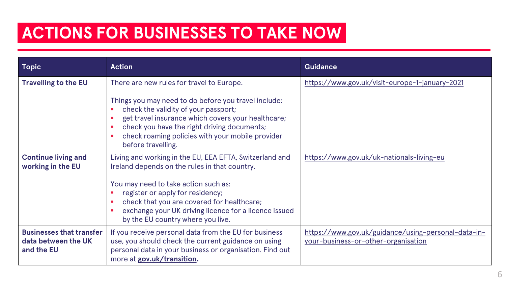## **ACTIONS FOR BUSINESSES TO TAKE NOW**

| <b>Topic</b>                                                         | <b>Action</b>                                                                                                                                                                                                                                                                                                                    | <b>Guidance</b>                                                                            |
|----------------------------------------------------------------------|----------------------------------------------------------------------------------------------------------------------------------------------------------------------------------------------------------------------------------------------------------------------------------------------------------------------------------|--------------------------------------------------------------------------------------------|
| <b>Travelling to the EU</b>                                          | There are new rules for travel to Europe.<br>Things you may need to do before you travel include:<br>check the validity of your passport;<br>get travel insurance which covers your healthcare;<br>check you have the right driving documents;<br>check roaming policies with your mobile provider<br>before travelling.         | https://www.gov.uk/visit-europe-1-january-2021                                             |
| <b>Continue living and</b><br>working in the EU                      | Living and working in the EU, EEA EFTA, Switzerland and<br>Ireland depends on the rules in that country.<br>You may need to take action such as:<br>register or apply for residency;<br>check that you are covered for healthcare;<br>exchange your UK driving licence for a licence issued<br>by the EU country where you live. | https://www.gov.uk/uk-nationals-living-eu                                                  |
| <b>Businesses that transfer</b><br>data between the UK<br>and the EU | If you receive personal data from the EU for business<br>use, you should check the current guidance on using<br>personal data in your business or organisation. Find out<br>more at gov.uk/transition.                                                                                                                           | https://www.gov.uk/guidance/using-personal-data-in-<br>your-business-or-other-organisation |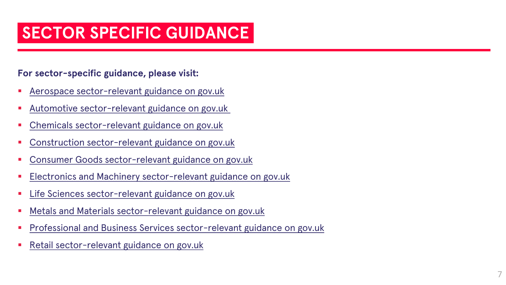## **SECTOR SPECIFIC GUIDANCE**

## **For sector-specific guidance, please visit:**

- Aerospace sector-relevant guidance on [gov.uk](https://www.gov.uk/government/collections/aerospace-sector-end-of-transition-period-guidance)
- [Automotive sector-relevant guidance on gov.uk](https://www.gov.uk/government/collections/automotive-sector-end-of-transition-period-guidance)
- Chemicals sector-relevant guidance on [gov.uk](https://www.gov.uk/government/collections/chemicals-sector-end-of-transition-period-guidance)
- Construction sector-relevant guidance on [gov.uk](https://www.gov.uk/government/collections/construction-sector-end-of-transition-period-guidance)
- Consumer Goods sector-relevant guidance on [gov.uk](https://www.gov.uk/government/collections/consumer-goods-sector-end-of-transition-period-guidance)
- Electronics and Machinery sector-relevant guidance on [gov.uk](https://www.gov.uk/government/collections/electronics-and-machinery-sector-end-of-transition-period-guidance)
- Life Sciences sector-relevant guidance on [gov.uk](https://www.gov.uk/government/collections/life-sciences-sector-end-of-transition-period-guidance)
- Metals and Materials sector-relevant guidance on [gov.uk](https://www.gov.uk/government/collections/metals-and-other-goods-sector-end-of-transition-period-guidance)
- Professional and Business Services sector-relevant guidance on [gov.uk](https://www.gov.uk/government/collections/services-and-investment-sector-end-of-transition-period-guidance)
- Retail sector-relevant guidance on [gov.uk](https://www.gov.uk/government/collections/retail-sector-end-of-transition-period-guidance)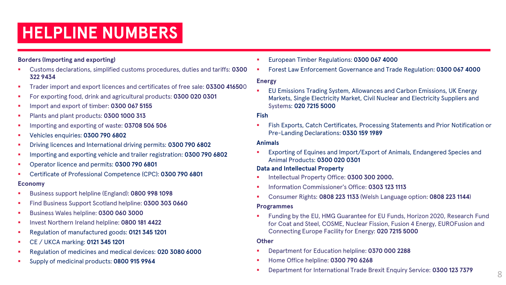### **Borders (Importing and exporting)**

- Customs declarations, simplified customs procedures, duties and tariffs: **0300 322 9434**
- Trader import and export licences and certificates of free sale: **03300 41650**0
- For exporting food, drink and agricultural products: **0300 020 0301**
- Import and export of timber: **0300 067 5155**
- Plants and plant products: 0300 1000 313
- Importing and exporting of waste: **03708 506 506**
- Vehicles enquiries: **0300 790 6802**
- Driving licences and International driving permits: **0300 790 6802**
- Importing and exporting vehicle and trailer registration: **0300 790 6802**
- Operator licence and permits: **0300 790 6801**
- Certificate of Professional Competence (CPC): **0300 790 6801**

### **Economy**

- Business support helpline (England): **0800 998 1098**
- **Find Business Support Scotland helpline: 0300 303 0660**
- Business Wales helpline: **0300 060 3000**
- Invest Northern Ireland helpline: **0800 181 4422**
- Regulation of manufactured goods: **0121 345 1201**
- CE / UKCA marking: **0121 345 1201**
- Regulation of medicines and medical devices: 020 3080 6000
- Supply of medicinal products: **0800 915 9964**
- European Timber Regulations: **0300 067 4000**
- Forest Law Enforcement Governance and Trade Regulation: **0300 067 4000**

### **Energy**

EU Emissions Trading System, Allowances and Carbon Emissions, UK Energy Markets, Single Electricity Market, Civil Nuclear and Electricity Suppliers and Systems: **020 7215 5000**

### **Fish**

Fish Exports, Catch Certificates, Processing Statements and Prior Notification or Pre-Landing Declarations: **0330 159 1989**

### **Animals**

Exporting of Equines and Import/Export of Animals, Endangered Species and Animal Products: **0300 020 0301**

### **Data and Intellectual Property**

- Intellectual Property Office: 0300 300 2000.
- Information Commissioner's Office: **0303 123 1113**
- Consumer Rights: **0808 223 1133** (Welsh Language option: **0808 223 1144**)

#### **Programmes**

Funding by the EU, HMG Guarantee for EU Funds, Horizon 2020, Research Fund for Coat and Steel, COSME, Nuclear Fission, Fusion 4 Energy, EUROFusion and Connecting Europe Facility for Energy: **020 7215 5000**

### **Other**

- Department for Education helpline: **0370 000 2288**
- Home Office helpline: **0300 790 6268**
- Department for International Trade Brexit Enquiry Service: **0300 123 7379** 8